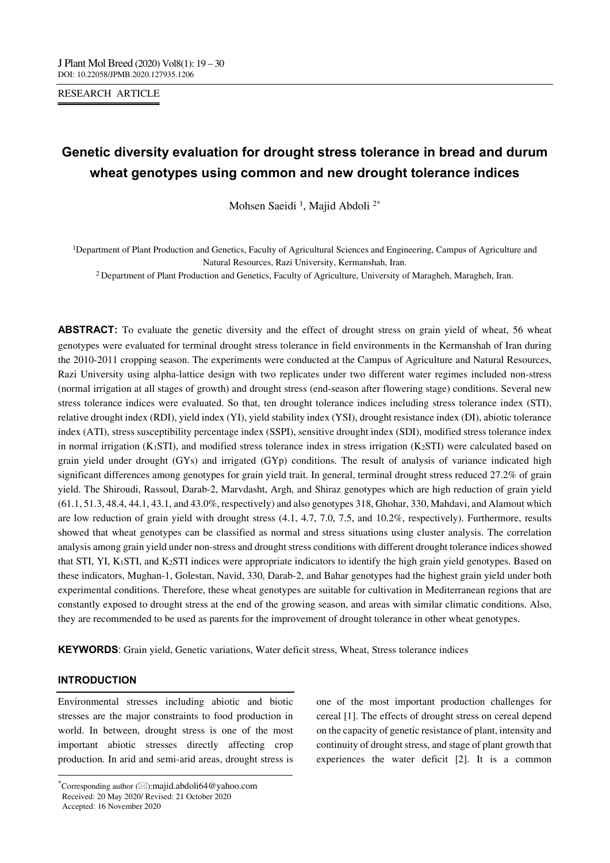#### RESEARCH ARTICLE

# **Genetic diversity evaluation for drought stress tolerance in bread and durum wheat genotypes using common and new drought tolerance indices**

Mohsen Saeidi 1, Majid Abdoli 2\*

1Department of Plant Production and Genetics, Faculty of Agricultural Sciences and Engineering, Campus of Agriculture and Natural Resources, Razi University, Kermanshah, Iran.

<sup>2</sup> Department of Plant Production and Genetics, Faculty of Agriculture, University of Maragheh, Maragheh, Iran.

**ABSTRACT:** To evaluate the genetic diversity and the effect of drought stress on grain yield of wheat, 56 wheat genotypes were evaluated for terminal drought stress tolerance in field environments in the Kermanshah of Iran during the 2010-2011 cropping season. The experiments were conducted at the Campus of Agriculture and Natural Resources, Razi University using alpha-lattice design with two replicates under two different water regimes included non-stress (normal irrigation at all stages of growth) and drought stress (end-season after flowering stage) conditions. Several new stress tolerance indices were evaluated. So that, ten drought tolerance indices including stress tolerance index (STI), relative drought index (RDI), yield index (YI), yield stability index (YSI), drought resistance index (DI), abiotic tolerance index (ATI), stress susceptibility percentage index (SSPI), sensitive drought index (SDI), modified stress tolerance index in normal irrigation (K<sub>1</sub>STI), and modified stress tolerance index in stress irrigation (K<sub>2</sub>STI) were calculated based on grain yield under drought (GYs) and irrigated (GYp) conditions. The result of analysis of variance indicated high significant differences among genotypes for grain yield trait. In general, terminal drought stress reduced 27.2% of grain yield. The Shiroudi, Rassoul, Darab-2, Marvdasht, Argh, and Shiraz genotypes which are high reduction of grain yield (61.1, 51.3, 48.4, 44.1, 43.1, and 43.0%, respectively) and also genotypes 318, Ghohar, 330, Mahdavi, and Alamout which are low reduction of grain yield with drought stress (4.1, 4.7, 7.0, 7.5, and 10.2%, respectively). Furthermore, results showed that wheat genotypes can be classified as normal and stress situations using cluster analysis. The correlation analysis among grain yield under non-stress and drought stress conditions with different drought tolerance indices showed that STI, YI, K1STI, and K2STI indices were appropriate indicators to identify the high grain yield genotypes. Based on these indicators, Mughan-1, Golestan, Navid, 330, Darab-2, and Bahar genotypes had the highest grain yield under both experimental conditions. Therefore, these wheat genotypes are suitable for cultivation in Mediterranean regions that are constantly exposed to drought stress at the end of the growing season, and areas with similar climatic conditions. Also, they are recommended to be used as parents for the improvement of drought tolerance in other wheat genotypes.

**KEYWORDS**: Grain yield, Genetic variations, Water deficit stress, Wheat, Stress tolerance indices

# **INTRODUCTION**

Environmental stresses including abiotic and biotic stresses are the major constraints to food production in world. In between, drought stress is one of the most important abiotic stresses directly affecting crop production. In arid and semi-arid areas, drought stress is

---------------------------------------------------------------------------------

one of the most important production challenges for cereal [1]. The effects of drought stress on cereal depend on the capacity of genetic resistance of plant, intensity and continuity of drought stress, and stage of plant growth that experiences the water deficit [2]. It is a common

<sup>\*</sup>Corresponding author  $(\boxtimes)$ :majid.abdoli64@yahoo.com Received: 20 May 2020/ Revised: 21 October 2020

Accepted: 16 November 2020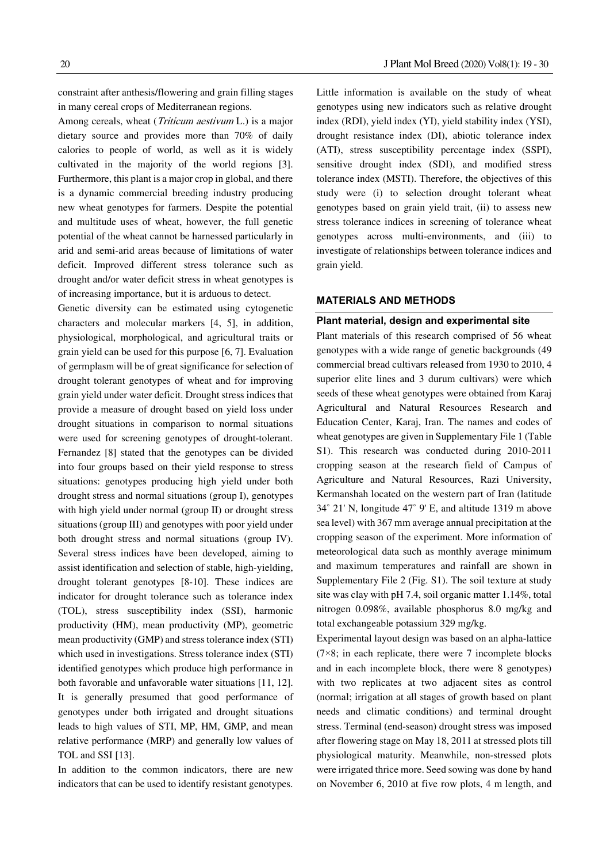constraint after anthesis/flowering and grain filling stages in many cereal crops of Mediterranean regions.

Among cereals, wheat (*Triticum aestivum* L.) is a major dietary source and provides more than 70% of daily calories to people of world, as well as it is widely cultivated in the majority of the world regions [3]. Furthermore, this plant is a major crop in global, and there is a dynamic commercial breeding industry producing new wheat genotypes for farmers. Despite the potential and multitude uses of wheat, however, the full genetic potential of the wheat cannot be harnessed particularly in arid and semi-arid areas because of limitations of water deficit. Improved different stress tolerance such as drought and/or water deficit stress in wheat genotypes is of increasing importance, but it is arduous to detect.

Genetic diversity can be estimated using cytogenetic characters and molecular markers [4, 5], in addition, physiological, morphological, and agricultural traits or grain yield can be used for this purpose [6, 7]. Evaluation of germplasm will be of great significance for selection of drought tolerant genotypes of wheat and for improving grain yield under water deficit. Drought stress indices that provide a measure of drought based on yield loss under drought situations in comparison to normal situations were used for screening genotypes of drought-tolerant. Fernandez [8] stated that the genotypes can be divided into four groups based on their yield response to stress situations: genotypes producing high yield under both drought stress and normal situations (group I), genotypes with high yield under normal (group II) or drought stress situations (group III) and genotypes with poor yield under both drought stress and normal situations (group IV). Several stress indices have been developed, aiming to assist identification and selection of stable, high-yielding, drought tolerant genotypes [8-10]. These indices are indicator for drought tolerance such as tolerance index (TOL), stress susceptibility index (SSI), harmonic productivity (HM), mean productivity (MP), geometric mean productivity (GMP) and stress tolerance index (STI) which used in investigations. Stress tolerance index (STI) identified genotypes which produce high performance in both favorable and unfavorable water situations [11, 12]. It is generally presumed that good performance of genotypes under both irrigated and drought situations leads to high values of STI, MP, HM, GMP, and mean relative performance (MRP) and generally low values of TOL and SSI [13].

In addition to the common indicators, there are new indicators that can be used to identify resistant genotypes. drought resistance index (DI), abiotic tolerance index (ATI), stress susceptibility percentage index (SSPI), sensitive drought index (SDI), and modified stress tolerance index (MSTI). Therefore, the objectives of this study were (i) to selection drought tolerant wheat genotypes based on grain yield trait, (ii) to assess new stress tolerance indices in screening of tolerance wheat genotypes across multi-environments, and (iii) to investigate of relationships between tolerance indices and grain yield.

### **MATERIALS AND METHODS**

#### **Plant material, design and experimental site**

Plant materials of this research comprised of 56 wheat genotypes with a wide range of genetic backgrounds (49 commercial bread cultivars released from 1930 to 2010, 4 superior elite lines and 3 durum cultivars) were which seeds of these wheat genotypes were obtained from Karaj Agricultural and Natural Resources Research and Education Center, Karaj, Iran. The names and codes of wheat genotypes are given in Supplementary File 1 (Table S1). This research was conducted during 2010-2011 cropping season at the research field of Campus of Agriculture and Natural Resources, Razi University, Kermanshah located on the western part of Iran (latitude 34˚ 21' N, longitude 47˚ 9' E, and altitude 1319 m above sea level) with 367 mm average annual precipitation at the cropping season of the experiment. More information of meteorological data such as monthly average minimum and maximum temperatures and rainfall are shown in Supplementary File 2 (Fig. S1). The soil texture at study site was clay with pH 7.4, soil organic matter 1.14%, total nitrogen 0.098%, available phosphorus 8.0 mg/kg and total exchangeable potassium 329 mg/kg.

Experimental layout design was based on an alpha-lattice  $(7\times8)$ ; in each replicate, there were 7 incomplete blocks and in each incomplete block, there were 8 genotypes) with two replicates at two adjacent sites as control (normal; irrigation at all stages of growth based on plant needs and climatic conditions) and terminal drought stress. Terminal (end-season) drought stress was imposed after flowering stage on May 18, 2011 at stressed plots till physiological maturity. Meanwhile, non-stressed plots were irrigated thrice more. Seed sowing was done by hand on November 6, 2010 at five row plots, 4 m length, and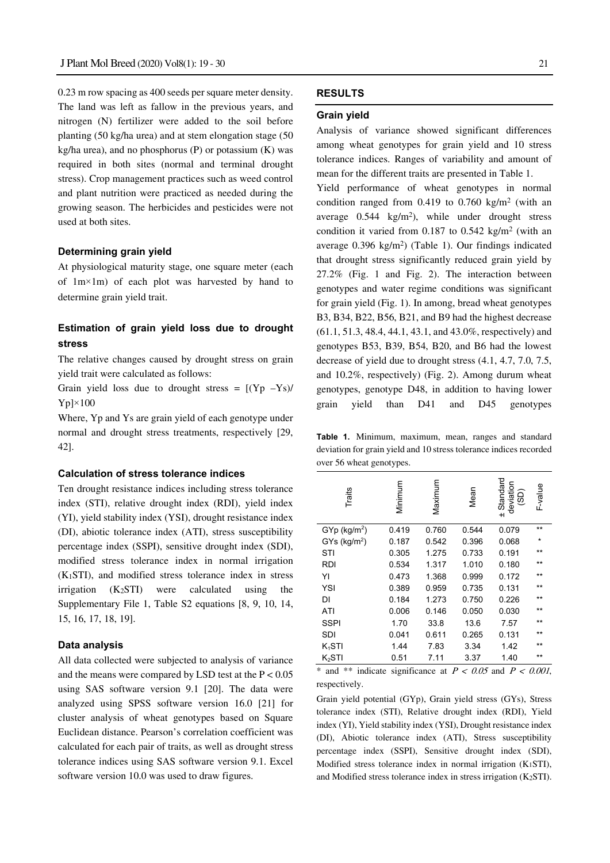0.23 m row spacing as 400 seeds per square meter density. The land was left as fallow in the previous years, and nitrogen (N) fertilizer were added to the soil before planting (50 kg/ha urea) and at stem elongation stage (50 kg/ha urea), and no phosphorus (P) or potassium  $(K)$  was required in both sites (normal and terminal drought stress). Crop management practices such as weed control and plant nutrition were practiced as needed during the growing season. The herbicides and pesticides were not used at both sites.

# **Determining grain yield**

At physiological maturity stage, one square meter (each of 1m×1m) of each plot was harvested by hand to determine grain yield trait.

# **Estimation of grain yield loss due to drought stress**

The relative changes caused by drought stress on grain yield trait were calculated as follows:

Grain yield loss due to drought stress =  $[(Yp - Ys) /$  $Yp$ |×100

Where, Yp and Ys are grain yield of each genotype under normal and drought stress treatments, respectively [29, 42].

#### **Calculation of stress tolerance indices**

Ten drought resistance indices including stress tolerance index (STI), relative drought index (RDI), yield index (YI), yield stability index (YSI), drought resistance index (DI), abiotic tolerance index (ATI), stress susceptibility percentage index (SSPI), sensitive drought index (SDI), modified stress tolerance index in normal irrigation (K1STI), and modified stress tolerance index in stress irrigation  $(K_2STI)$  were calculated using the Supplementary File 1, Table S2 equations [8, 9, 10, 14, 15, 16, 17, 18, 19].

### **Data analysis**

All data collected were subjected to analysis of variance and the means were compared by LSD test at the  $P < 0.05$ using SAS software version 9.1 [20]. The data were analyzed using SPSS software version 16.0 [21] for cluster analysis of wheat genotypes based on Square Euclidean distance. Pearson's correlation coefficient was calculated for each pair of traits, as well as drought stress tolerance indices using SAS software version 9.1. Excel software version 10.0 was used to draw figures.

# **RESULTS**

#### **Grain yield**

Analysis of variance showed significant differences among wheat genotypes for grain yield and 10 stress tolerance indices. Ranges of variability and amount of mean for the different traits are presented in Table 1.

Yield performance of wheat genotypes in normal condition ranged from  $0.419$  to  $0.760$  kg/m<sup>2</sup> (with an average  $0.544 \text{ kg/m}^2$ , while under drought stress condition it varied from  $0.187$  to  $0.542$  kg/m<sup>2</sup> (with an average  $0.396 \text{ kg/m}^2$ ) (Table 1). Our findings indicated that drought stress significantly reduced grain yield by 27.2% (Fig. 1 and Fig. 2). The interaction between genotypes and water regime conditions was significant for grain yield (Fig. 1). In among, bread wheat genotypes B3, B34, B22, B56, B21, and B9 had the highest decrease (61.1, 51.3, 48.4, 44.1, 43.1, and 43.0%, respectively) and genotypes B53, B39, B54, B20, and B6 had the lowest decrease of yield due to drought stress (4.1, 4.7, 7.0, 7.5, and 10.2%, respectively) (Fig. 2). Among durum wheat genotypes, genotype D48, in addition to having lower grain yield than D41 and D45 genotypes

**Table 1.** Minimum, maximum, mean, ranges and standard deviation for grain yield and 10 stress tolerance indices recorded over 56 wheat genotypes.

| Traits                     | Minimum | Maximum |       | Standard<br>deviation<br>(SD)<br>$+1$ | F-value |
|----------------------------|---------|---------|-------|---------------------------------------|---------|
| $GYp$ (kg/m <sup>2</sup> ) | 0.419   | 0.760   | 0.544 | 0.079                                 | $**$    |
| $GYs$ (kg/m <sup>2</sup> ) | 0.187   | 0.542   | 0.396 | 0.068                                 | $\star$ |
| STI                        | 0.305   | 1.275   | 0.733 | 0.191                                 | $***$   |
| <b>RDI</b>                 | 0.534   | 1.317   | 1.010 | 0.180                                 | $**$    |
| YI                         | 0.473   | 1.368   | 0.999 | 0.172                                 | $**$    |
| YSI                        | 0.389   | 0.959   | 0.735 | 0.131                                 | $***$   |
| DI                         | 0.184   | 1.273   | 0.750 | 0.226                                 | $**$    |
| ATI                        | 0.006   | 0.146   | 0.050 | 0.030                                 | $**$    |
| SSPI                       | 1.70    | 33.8    | 13.6  | 7.57                                  | $***$   |
| SDI                        | 0.041   | 0.611   | 0.265 | 0.131                                 | $***$   |
| $K_1STI$                   | 1.44    | 7.83    | 3.34  | 1.42                                  | $***$   |
| K <sub>2</sub> STI         | 0.51    | 7.11    | 3.37  | 1.40                                  | $***$   |

\* and \*\* indicate significance at  $P < 0.05$  and  $P < 0.001$ , respectively.

Grain yield potential (GYp), Grain yield stress (GYs), Stress tolerance index (STI), Relative drought index (RDI), Yield index (YI), Yield stability index (YSI), Drought resistance index (DI), Abiotic tolerance index (ATI), Stress susceptibility percentage index (SSPI), Sensitive drought index (SDI), Modified stress tolerance index in normal irrigation (K1STI), and Modified stress tolerance index in stress irrigation (K2STI).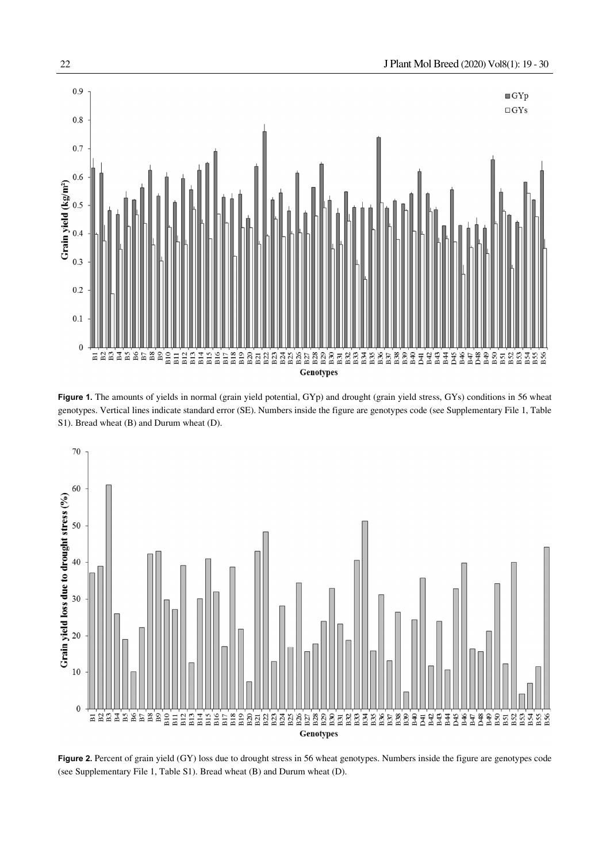

Figure 1. The amounts of yields in normal (grain yield potential, GYp) and drought (grain yield stress, GYs) conditions in 56 wheat genotypes. Vertical lines indicate standard error (SE). Numbers inside the figure are genotypes code (see Supplementary File 1, Table S1). Bread wheat (B) and Durum wheat (D).



**Figure 2.** Percent of grain yield (GY) loss due to drought stress in 56 wheat genotypes. Numbers inside the figure are genotypes code (see Supplementary File 1, Table S1). Bread wheat (B) and Durum wheat (D).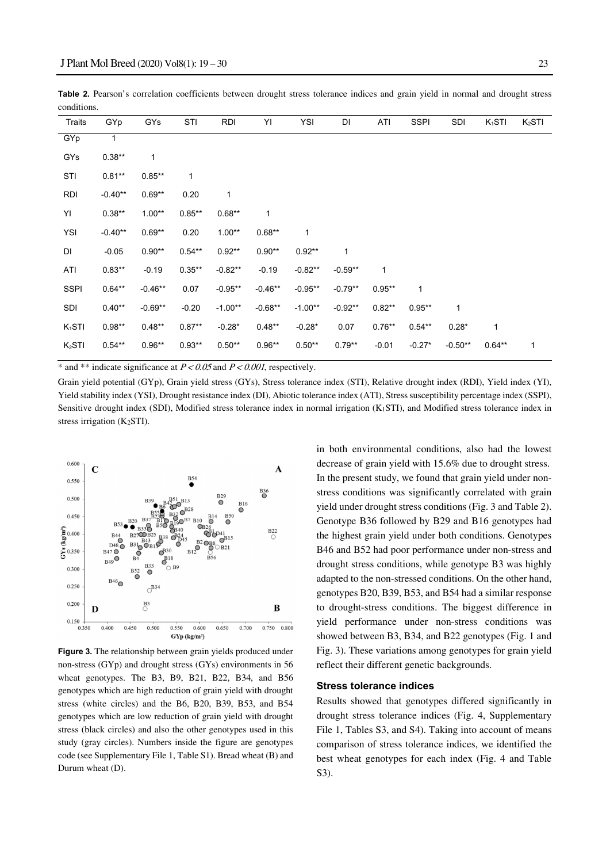|             |  | Table 2. Pearson's correlation coefficients between drought stress tolerance indices and grain yield in normal and drought stress |  |  |  |  |  |  |
|-------------|--|-----------------------------------------------------------------------------------------------------------------------------------|--|--|--|--|--|--|
| conditions. |  |                                                                                                                                   |  |  |  |  |  |  |

| Traits             | GYp       | GYs       | STI       | <b>RDI</b> | YI        | YSI       | DI           | ATI          | <b>SSPI</b>  | <b>SDI</b> | $K_1STI$  | K <sub>2</sub> STI |
|--------------------|-----------|-----------|-----------|------------|-----------|-----------|--------------|--------------|--------------|------------|-----------|--------------------|
| GYp                | 1         |           |           |            |           |           |              |              |              |            |           |                    |
| GYs                | $0.38**$  | 1         |           |            |           |           |              |              |              |            |           |                    |
| STI                | $0.81**$  | $0.85**$  | 1         |            |           |           |              |              |              |            |           |                    |
| <b>RDI</b>         | $-0.40**$ | $0.69**$  | 0.20      | 1          |           |           |              |              |              |            |           |                    |
| YI                 | $0.38**$  | $1.00**$  | $0.85**$  | $0.68**$   | 1         |           |              |              |              |            |           |                    |
| YSI                | $-0.40**$ | $0.69**$  | 0.20      | $1.00**$   | $0.68**$  | 1         |              |              |              |            |           |                    |
| DI                 | $-0.05$   | $0.90**$  | $0.54**$  | $0.92**$   | $0.90**$  | $0.92**$  | $\mathbf{1}$ |              |              |            |           |                    |
| ATI                | $0.83**$  | $-0.19$   | $0.35***$ | $-0.82**$  | $-0.19$   | $-0.82**$ | $-0.59**$    | $\mathbf{1}$ |              |            |           |                    |
| <b>SSPI</b>        | $0.64**$  | $-0.46**$ | 0.07      | $-0.95**$  | $-0.46**$ | $-0.95**$ | $-0.79**$    | $0.95**$     | $\mathbf{1}$ |            |           |                    |
| SDI                | $0.40**$  | $-0.69**$ | $-0.20$   | $-1.00**$  | $-0.68**$ | $-1.00**$ | $-0.92**$    | $0.82**$     | $0.95**$     | 1          |           |                    |
| $K_1STI$           | $0.98**$  | $0.48**$  | $0.87**$  | $-0.28*$   | $0.48**$  | $-0.28*$  | 0.07         | $0.76**$     | $0.54**$     | $0.28*$    | 1         |                    |
| K <sub>2</sub> STI | $0.54**$  | $0.96**$  | $0.93**$  | $0.50**$   | $0.96**$  | $0.50**$  | $0.79**$     | $-0.01$      | $-0.27*$     | $-0.50**$  | $0.64***$ | 1                  |

\* and \*\* indicate significance at  $P < 0.05$  and  $P < 0.001$ , respectively.

Grain yield potential (GYp), Grain yield stress (GYs), Stress tolerance index (STI), Relative drought index (RDI), Yield index (YI), Yield stability index (YSI), Drought resistance index (DI), Abiotic tolerance index (ATI), Stress susceptibility percentage index (SSPI), Sensitive drought index (SDI), Modified stress tolerance index in normal irrigation (K1STI), and Modified stress tolerance index in stress irrigation (K2STI).



**Figure 3.** The relationship between grain yields produced under non-stress (GYp) and drought stress (GYs) environments in 56 wheat genotypes. The B3, B9, B21, B22, B34, and B56 genotypes which are high reduction of grain yield with drought stress (white circles) and the B6, B20, B39, B53, and B54 genotypes which are low reduction of grain yield with drought stress (black circles) and also the other genotypes used in this study (gray circles). Numbers inside the figure are genotypes code (see Supplementary File 1, Table S1). Bread wheat (B) and Durum wheat (D).

in both environmental conditions, also had the lowest decrease of grain yield with 15.6% due to drought stress. In the present study, we found that grain yield under nonstress conditions was significantly correlated with grain yield under drought stress conditions (Fig. 3 and Table 2). Genotype B36 followed by B29 and B16 genotypes had the highest grain yield under both conditions. Genotypes B46 and B52 had poor performance under non-stress and drought stress conditions, while genotype B3 was highly adapted to the non-stressed conditions. On the other hand, genotypes B20, B39, B53, and B54 had a similar response to drought-stress conditions. The biggest difference in yield performance under non-stress conditions was showed between B3, B34, and B22 genotypes (Fig. 1 and Fig. 3). These variations among genotypes for grain yield reflect their different genetic backgrounds.

#### **Stress tolerance indices**

Results showed that genotypes differed significantly in drought stress tolerance indices (Fig. 4, Supplementary File 1, Tables S3, and S4). Taking into account of means comparison of stress tolerance indices, we identified the best wheat genotypes for each index (Fig. 4 and Table S3).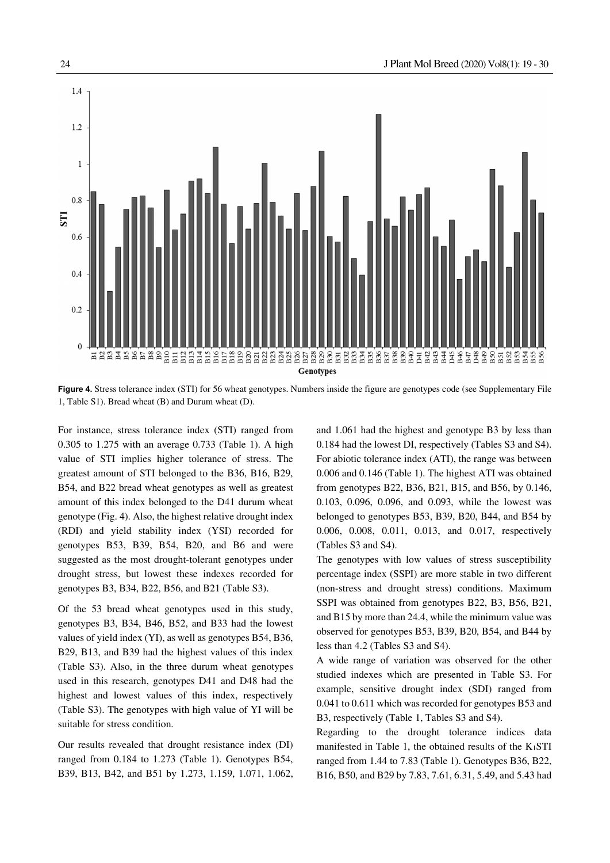

**Figure 4.** Stress tolerance index (STI) for 56 wheat genotypes. Numbers inside the figure are genotypes code (see Supplementary File 1, Table S1). Bread wheat (B) and Durum wheat (D).

For instance, stress tolerance index (STI) ranged from 0.305 to 1.275 with an average 0.733 (Table 1). A high value of STI implies higher tolerance of stress. The greatest amount of STI belonged to the B36, B16, B29, B54, and B22 bread wheat genotypes as well as greatest amount of this index belonged to the D41 durum wheat genotype (Fig. 4). Also, the highest relative drought index (RDI) and yield stability index (YSI) recorded for genotypes B53, B39, B54, B20, and B6 and were suggested as the most drought-tolerant genotypes under drought stress, but lowest these indexes recorded for genotypes B3, B34, B22, B56, and B21 (Table S3).

Of the 53 bread wheat genotypes used in this study, genotypes B3, B34, B46, B52, and B33 had the lowest values of yield index (YI), as well as genotypes B54, B36, B29, B13, and B39 had the highest values of this index (Table S3). Also, in the three durum wheat genotypes used in this research, genotypes D41 and D48 had the highest and lowest values of this index, respectively (Table S3). The genotypes with high value of YI will be suitable for stress condition.

Our results revealed that drought resistance index (DI) ranged from 0.184 to 1.273 (Table 1). Genotypes B54, B39, B13, B42, and B51 by 1.273, 1.159, 1.071, 1.062, and 1.061 had the highest and genotype B3 by less than 0.184 had the lowest DI, respectively (Tables S3 and S4). For abiotic tolerance index (ATI), the range was between 0.006 and 0.146 (Table 1). The highest ATI was obtained from genotypes B22, B36, B21, B15, and B56, by 0.146, 0.103, 0.096, 0.096, and 0.093, while the lowest was belonged to genotypes B53, B39, B20, B44, and B54 by 0.006, 0.008, 0.011, 0.013, and 0.017, respectively (Tables S3 and S4).

The genotypes with low values of stress susceptibility percentage index (SSPI) are more stable in two different (non-stress and drought stress) conditions. Maximum SSPI was obtained from genotypes B22, B3, B56, B21, and B15 by more than 24.4, while the minimum value was observed for genotypes B53, B39, B20, B54, and B44 by less than 4.2 (Tables S3 and S4).

A wide range of variation was observed for the other studied indexes which are presented in Table S3. For example, sensitive drought index (SDI) ranged from 0.041 to 0.611 which was recorded for genotypes B53 and B3, respectively (Table 1, Tables S3 and S4).

Regarding to the drought tolerance indices data manifested in Table 1, the obtained results of the K1STI ranged from 1.44 to 7.83 (Table 1). Genotypes B36, B22, B16, B50, and B29 by 7.83, 7.61, 6.31, 5.49, and 5.43 had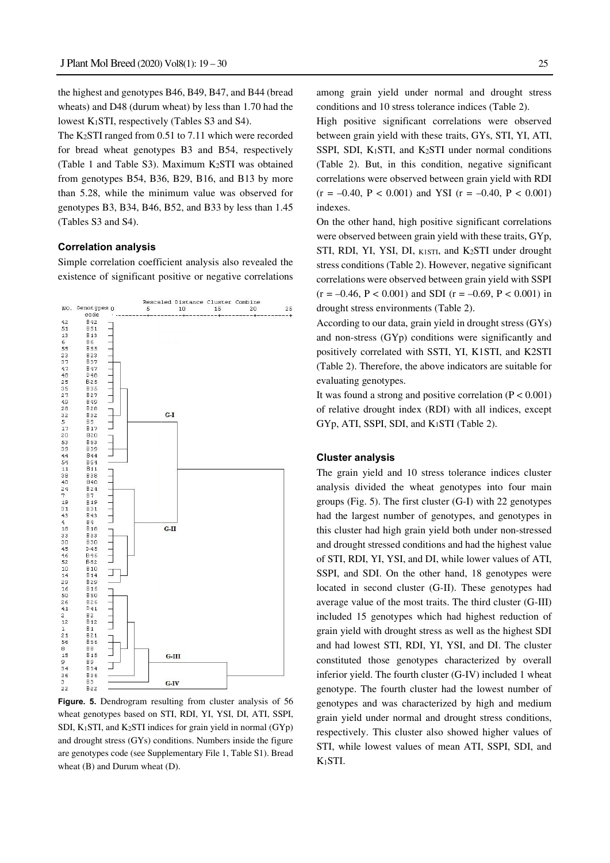the highest and genotypes B46, B49, B47, and B44 (bread wheats) and D48 (durum wheat) by less than 1.70 had the lowest K1STI, respectively (Tables S3 and S4).

The K2STI ranged from 0.51 to 7.11 which were recorded for bread wheat genotypes B3 and B54, respectively (Table 1 and Table S3). Maximum  $K_2STI$  was obtained from genotypes B54, B36, B29, B16, and B13 by more than 5.28, while the minimum value was observed for genotypes B3, B34, B46, B52, and B33 by less than 1.45 (Tables S3 and S4).

#### **Correlation analysis**

Simple correlation coefficient analysis also revealed the existence of significant positive or negative correlations

![](_page_6_Figure_5.jpeg)

**Figure. 5.** Dendrogram resulting from cluster analysis of 56 wheat genotypes based on STI, RDI, YI, YSI, DI, ATI, SSPI, SDI, K1STI, and K2STI indices for grain yield in normal (GYp) and drought stress (GYs) conditions. Numbers inside the figure are genotypes code (see Supplementary File 1, Table S1). Bread wheat (B) and Durum wheat (D).

among grain yield under normal and drought stress conditions and 10 stress tolerance indices (Table 2).

High positive significant correlations were observed between grain yield with these traits, GYs, STI, YI, ATI, SSPI, SDI, K1STI, and K2STI under normal conditions (Table 2). But, in this condition, negative significant correlations were observed between grain yield with RDI  $(r = -0.40, P < 0.001)$  and YSI  $(r = -0.40, P < 0.001)$ indexes.

On the other hand, high positive significant correlations were observed between grain yield with these traits, GYp, STI, RDI, YI, YSI, DI, K1STI, and K2STI under drought stress conditions (Table 2). However, negative significant correlations were observed between grain yield with SSPI  $(r = -0.46, P < 0.001)$  and SDI  $(r = -0.69, P < 0.001)$  in drought stress environments (Table 2).

According to our data, grain yield in drought stress (GYs) and non-stress (GYp) conditions were significantly and positively correlated with SSTI, YI, K1STI, and K2STI (Table 2). Therefore, the above indicators are suitable for evaluating genotypes.

It was found a strong and positive correlation  $(P < 0.001)$ of relative drought index (RDI) with all indices, except GYp, ATI, SSPI, SDI, and K1STI (Table 2).

### **Cluster analysis**

The grain yield and 10 stress tolerance indices cluster analysis divided the wheat genotypes into four main groups (Fig. 5). The first cluster (G-I) with 22 genotypes had the largest number of genotypes, and genotypes in this cluster had high grain yield both under non-stressed and drought stressed conditions and had the highest value of STI, RDI, YI, YSI, and DI, while lower values of ATI, SSPI, and SDI. On the other hand, 18 genotypes were located in second cluster (G-II). These genotypes had average value of the most traits. The third cluster (G-III) included 15 genotypes which had highest reduction of grain yield with drought stress as well as the highest SDI and had lowest STI, RDI, YI, YSI, and DI. The cluster constituted those genotypes characterized by overall inferior yield. The fourth cluster (G-IV) included 1 wheat genotype. The fourth cluster had the lowest number of genotypes and was characterized by high and medium grain yield under normal and drought stress conditions, respectively. This cluster also showed higher values of STI, while lowest values of mean ATI, SSPI, SDI, and K1STI.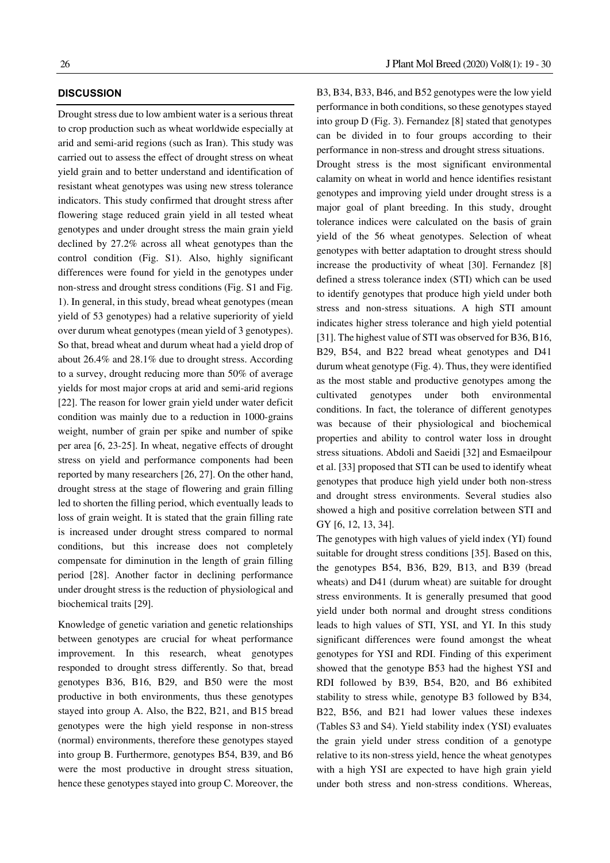# **DISCUSSION**

Drought stress due to low ambient water is a serious threat to crop production such as wheat worldwide especially at arid and semi-arid regions (such as Iran). This study was carried out to assess the effect of drought stress on wheat yield grain and to better understand and identification of resistant wheat genotypes was using new stress tolerance indicators. This study confirmed that drought stress after flowering stage reduced grain yield in all tested wheat genotypes and under drought stress the main grain yield declined by 27.2% across all wheat genotypes than the control condition (Fig. S1). Also, highly significant differences were found for yield in the genotypes under non-stress and drought stress conditions (Fig. S1 and Fig. 1). In general, in this study, bread wheat genotypes (mean yield of 53 genotypes) had a relative superiority of yield over durum wheat genotypes (mean yield of 3 genotypes). So that, bread wheat and durum wheat had a yield drop of about 26.4% and 28.1% due to drought stress. According to a survey, drought reducing more than 50% of average yields for most major crops at arid and semi-arid regions [22]. The reason for lower grain yield under water deficit condition was mainly due to a reduction in 1000-grains weight, number of grain per spike and number of spike per area [6, 23-25]. In wheat, negative effects of drought stress on yield and performance components had been reported by many researchers [26, 27]. On the other hand, drought stress at the stage of flowering and grain filling led to shorten the filling period, which eventually leads to loss of grain weight. It is stated that the grain filling rate is increased under drought stress compared to normal conditions, but this increase does not completely compensate for diminution in the length of grain filling period [28]. Another factor in declining performance under drought stress is the reduction of physiological and biochemical traits [29].

Knowledge of genetic variation and genetic relationships between genotypes are crucial for wheat performance improvement. In this research, wheat genotypes responded to drought stress differently. So that, bread genotypes B36, B16, B29, and B50 were the most productive in both environments, thus these genotypes stayed into group A. Also, the B22, B21, and B15 bread genotypes were the high yield response in non-stress (normal) environments, therefore these genotypes stayed into group B. Furthermore, genotypes B54, B39, and B6 were the most productive in drought stress situation, hence these genotypes stayed into group C. Moreover, the B3, B34, B33, B46, and B52 genotypes were the low yield performance in both conditions, so these genotypes stayed into group D (Fig. 3). Fernandez [8] stated that genotypes can be divided in to four groups according to their performance in non-stress and drought stress situations. Drought stress is the most significant environmental calamity on wheat in world and hence identifies resistant genotypes and improving yield under drought stress is a major goal of plant breeding. In this study, drought tolerance indices were calculated on the basis of grain yield of the 56 wheat genotypes. Selection of wheat genotypes with better adaptation to drought stress should increase the productivity of wheat [30]. Fernandez [8] defined a stress tolerance index (STI) which can be used to identify genotypes that produce high yield under both stress and non-stress situations. A high STI amount indicates higher stress tolerance and high yield potential [31]. The highest value of STI was observed for B36, B16, B29, B54, and B22 bread wheat genotypes and D41 durum wheat genotype (Fig. 4). Thus, they were identified as the most stable and productive genotypes among the cultivated genotypes under both environmental conditions. In fact, the tolerance of different genotypes was because of their physiological and biochemical properties and ability to control water loss in drought stress situations. Abdoli and Saeidi [32] and Esmaeilpour et al. [33] proposed that STI can be used to identify wheat genotypes that produce high yield under both non-stress and drought stress environments. Several studies also showed a high and positive correlation between STI and GY [6, 12, 13, 34].

The genotypes with high values of yield index (YI) found suitable for drought stress conditions [35]. Based on this, the genotypes B54, B36, B29, B13, and B39 (bread wheats) and D41 (durum wheat) are suitable for drought stress environments. It is generally presumed that good yield under both normal and drought stress conditions leads to high values of STI, YSI, and YI. In this study significant differences were found amongst the wheat genotypes for YSI and RDI. Finding of this experiment showed that the genotype B53 had the highest YSI and RDI followed by B39, B54, B20, and B6 exhibited stability to stress while, genotype B3 followed by B34, B22, B56, and B21 had lower values these indexes (Tables S3 and S4). Yield stability index (YSI) evaluates the grain yield under stress condition of a genotype relative to its non-stress yield, hence the wheat genotypes with a high YSI are expected to have high grain yield under both stress and non-stress conditions. Whereas,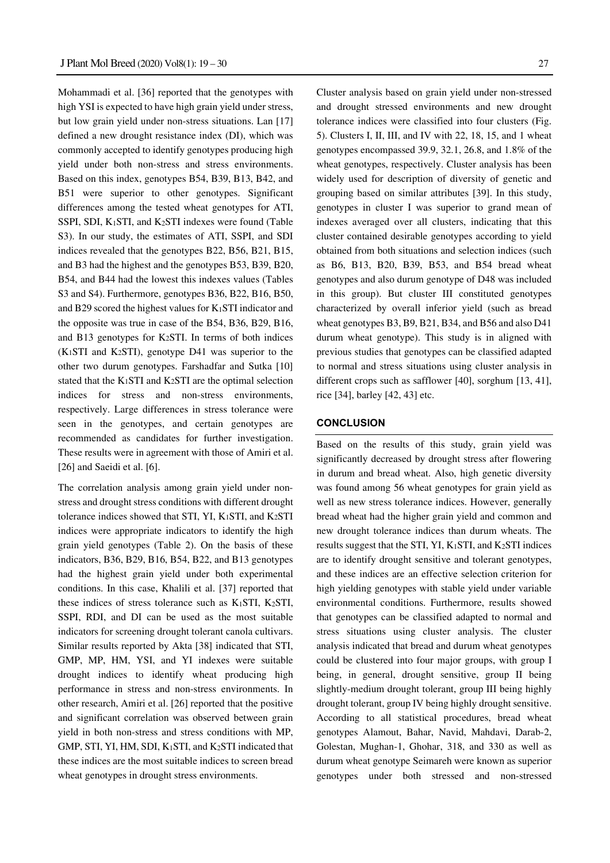Mohammadi et al. [36] reported that the genotypes with high YSI is expected to have high grain yield under stress, but low grain yield under non-stress situations. Lan [17] defined a new drought resistance index (DI), which was commonly accepted to identify genotypes producing high yield under both non-stress and stress environments. Based on this index, genotypes B54, B39, B13, B42, and B51 were superior to other genotypes. Significant differences among the tested wheat genotypes for ATI, SSPI, SDI, K1STI, and K2STI indexes were found (Table S3). In our study, the estimates of ATI, SSPI, and SDI indices revealed that the genotypes B22, B56, B21, B15, and B3 had the highest and the genotypes B53, B39, B20, B54, and B44 had the lowest this indexes values (Tables S3 and S4). Furthermore, genotypes B36, B22, B16, B50, and B29 scored the highest values for K1STI indicator and the opposite was true in case of the B54, B36, B29, B16, and B13 genotypes for K<sub>2</sub>STI. In terms of both indices  $(K<sub>1</sub>STI$  and  $K<sub>2</sub>STI$ ), genotype D41 was superior to the other two durum genotypes. Farshadfar and Sutka [10] stated that the K1STI and K2STI are the optimal selection indices for stress and non-stress environments, respectively. Large differences in stress tolerance were seen in the genotypes, and certain genotypes are recommended as candidates for further investigation. These results were in agreement with those of Amiri et al. [26] and Saeidi et al. [6].

The correlation analysis among grain yield under nonstress and drought stress conditions with different drought tolerance indices showed that STI, YI, K1STI, and K2STI indices were appropriate indicators to identify the high grain yield genotypes (Table 2). On the basis of these indicators, B36, B29, B16, B54, B22, and B13 genotypes had the highest grain yield under both experimental conditions. In this case, Khalili et al. [37] reported that these indices of stress tolerance such as  $K_1STI$ ,  $K_2STI$ , SSPI, RDI, and DI can be used as the most suitable indicators for screening drought tolerant canola cultivars. Similar results reported by Akta [38] indicated that STI, GMP, MP, HM, YSI, and YI indexes were suitable drought indices to identify wheat producing high performance in stress and non-stress environments. In other research, Amiri et al. [26] reported that the positive and significant correlation was observed between grain yield in both non-stress and stress conditions with MP, GMP, STI, YI, HM, SDI, K1STI, and K2STI indicated that these indices are the most suitable indices to screen bread wheat genotypes in drought stress environments.

Cluster analysis based on grain yield under non-stressed and drought stressed environments and new drought tolerance indices were classified into four clusters (Fig. 5). Clusters I, II, III, and IV with 22, 18, 15, and 1 wheat genotypes encompassed 39.9, 32.1, 26.8, and 1.8% of the wheat genotypes, respectively. Cluster analysis has been widely used for description of diversity of genetic and grouping based on similar attributes [39]. In this study, genotypes in cluster I was superior to grand mean of indexes averaged over all clusters, indicating that this cluster contained desirable genotypes according to yield obtained from both situations and selection indices (such as B6, B13, B20, B39, B53, and B54 bread wheat genotypes and also durum genotype of D48 was included in this group). But cluster III constituted genotypes characterized by overall inferior yield (such as bread wheat genotypes B3, B9, B21, B34, and B56 and also D41 durum wheat genotype). This study is in aligned with previous studies that genotypes can be classified adapted to normal and stress situations using cluster analysis in different crops such as safflower [40], sorghum [13, 41], rice [34], barley [42, 43] etc.

# **CONCLUSION**

Based on the results of this study, grain yield was significantly decreased by drought stress after flowering in durum and bread wheat. Also, high genetic diversity was found among 56 wheat genotypes for grain yield as well as new stress tolerance indices. However, generally bread wheat had the higher grain yield and common and new drought tolerance indices than durum wheats. The results suggest that the STI, YI,  $K_1$ STI, and  $K_2$ STI indices are to identify drought sensitive and tolerant genotypes, and these indices are an effective selection criterion for high yielding genotypes with stable yield under variable environmental conditions. Furthermore, results showed that genotypes can be classified adapted to normal and stress situations using cluster analysis. The cluster analysis indicated that bread and durum wheat genotypes could be clustered into four major groups, with group I being, in general, drought sensitive, group II being slightly-medium drought tolerant, group III being highly drought tolerant, group IV being highly drought sensitive. According to all statistical procedures, bread wheat genotypes Alamout, Bahar, Navid, Mahdavi, Darab-2, Golestan, Mughan-1, Ghohar, 318, and 330 as well as durum wheat genotype Seimareh were known as superior genotypes under both stressed and non-stressed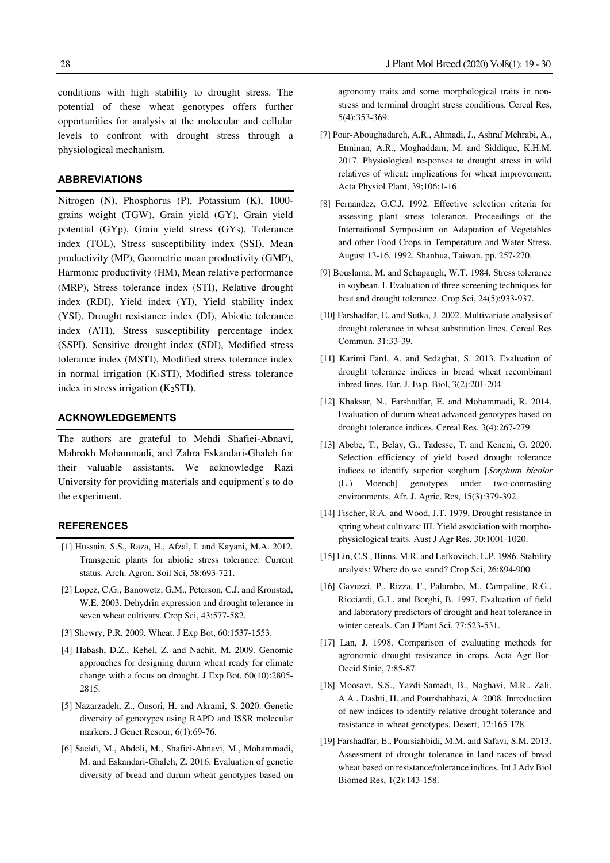conditions with high stability to drought stress. The potential of these wheat genotypes offers further opportunities for analysis at the molecular and cellular levels to confront with drought stress through a physiological mechanism.

# **ABBREVIATIONS**

Nitrogen (N), Phosphorus (P), Potassium (K), 1000 grains weight (TGW), Grain yield (GY), Grain yield potential (GYp), Grain yield stress (GYs), Tolerance index (TOL), Stress susceptibility index (SSI), Mean productivity (MP), Geometric mean productivity (GMP), Harmonic productivity (HM), Mean relative performance (MRP), Stress tolerance index (STI), Relative drought index (RDI), Yield index (YI), Yield stability index (YSI), Drought resistance index (DI), Abiotic tolerance index (ATI), Stress susceptibility percentage index (SSPI), Sensitive drought index (SDI), Modified stress tolerance index (MSTI), Modified stress tolerance index in normal irrigation  $(K_1STI)$ , Modified stress tolerance index in stress irrigation (K2STI).

### **ACKNOWLEDGEMENTS**

The authors are grateful to Mehdi Shafiei-Abnavi, Mahrokh Mohammadi, and Zahra Eskandari-Ghaleh for their valuable assistants. We acknowledge Razi University for providing materials and equipment's to do the experiment.

#### **REFERENCES**

- [1] Hussain, S.S., Raza, H., Afzal, I. and Kayani, M.A. 2012. Transgenic plants for abiotic stress tolerance: Current status. Arch. Agron. Soil Sci, 58:693-721.
- [2] Lopez, C.G., Banowetz, G.M., Peterson, C.J. and Kronstad, W.E. 2003. Dehydrin expression and drought tolerance in seven wheat cultivars. Crop Sci, 43:577-582.
- [3] Shewry, P.R. 2009. Wheat. J Exp Bot, 60:1537-1553.
- [4] Habash, D.Z., Kehel, Z. and Nachit, M. 2009. Genomic approaches for designing durum wheat ready for climate change with a focus on drought. J Exp Bot, 60(10):2805- 2815.
- [5] Nazarzadeh, Z., Onsori, H. and Akrami, S. 2020. Genetic diversity of genotypes using RAPD and ISSR molecular markers. J Genet Resour, 6(1):69-76.
- [6] Saeidi, M., Abdoli, M., Shafiei-Abnavi, M., Mohammadi, M. and Eskandari-Ghaleh, Z. 2016. Evaluation of genetic diversity of bread and durum wheat genotypes based on

agronomy traits and some morphological traits in nonstress and terminal drought stress conditions. Cereal Res, 5(4):353-369.

- [7] Pour-Aboughadareh, A.R., Ahmadi, J., Ashraf Mehrabi, A., Etminan, A.R., Moghaddam, M. and Siddique, K.H.M. 2017. Physiological responses to drought stress in wild relatives of wheat: implications for wheat improvement. Acta Physiol Plant, 39;106:1-16.
- [8] Fernandez, G.C.J. 1992. Effective selection criteria for assessing plant stress tolerance. Proceedings of the International Symposium on Adaptation of Vegetables and other Food Crops in Temperature and Water Stress, August 13-16, 1992, Shanhua, Taiwan, pp. 257-270.
- [9] Bouslama, M. and Schapaugh, W.T. 1984. Stress tolerance in soybean. I. Evaluation of three screening techniques for heat and drought tolerance. Crop Sci, 24(5):933-937.
- [10] Farshadfar, E. and Sutka, J. 2002. Multivariate analysis of drought tolerance in wheat substitution lines. Cereal Res Commun. 31:33-39.
- [11] Karimi Fard, A. and Sedaghat, S. 2013. Evaluation of drought tolerance indices in bread wheat recombinant inbred lines. Eur. J. Exp. Biol, 3(2):201-204.
- [12] Khaksar, N., Farshadfar, E. and Mohammadi, R. 2014. Evaluation of durum wheat advanced genotypes based on drought tolerance indices. Cereal Res, 3(4):267-279.
- [13] Abebe, T., Belay, G., Tadesse, T. and Keneni, G. 2020. Selection efficiency of yield based drought tolerance indices to identify superior sorghum [Sorghum bicolor (L.) Moench] genotypes under two-contrasting environments. Afr. J. Agric. Res, 15(3):379-392.
- [14] Fischer, R.A. and Wood, J.T. 1979. Drought resistance in spring wheat cultivars: III. Yield association with morphophysiological traits. Aust J Agr Res, 30:1001-1020.
- [15] Lin, C.S., Binns, M.R. and Lefkovitch, L.P. 1986. Stability analysis: Where do we stand? Crop Sci, 26:894-900.
- [16] Gavuzzi, P., Rizza, F., Palumbo, M., Campaline, R.G., Ricciardi, G.L. and Borghi, B. 1997. Evaluation of field and laboratory predictors of drought and heat tolerance in winter cereals. Can J Plant Sci, 77:523-531.
- [17] Lan, J. 1998. Comparison of evaluating methods for agronomic drought resistance in crops. Acta Agr Bor-Occid Sinic, 7:85-87.
- [18] Moosavi, S.S., Yazdi-Samadi, B., Naghavi, M.R., Zali, A.A., Dashti, H. and Pourshahbazi, A. 2008. Introduction of new indices to identify relative drought tolerance and resistance in wheat genotypes. Desert, 12:165-178.
- [19] Farshadfar, E., Poursiahbidi, M.M. and Safavi, S.M. 2013. Assessment of drought tolerance in land races of bread wheat based on resistance/tolerance indices. Int J Adv Biol Biomed Res, 1(2):143-158.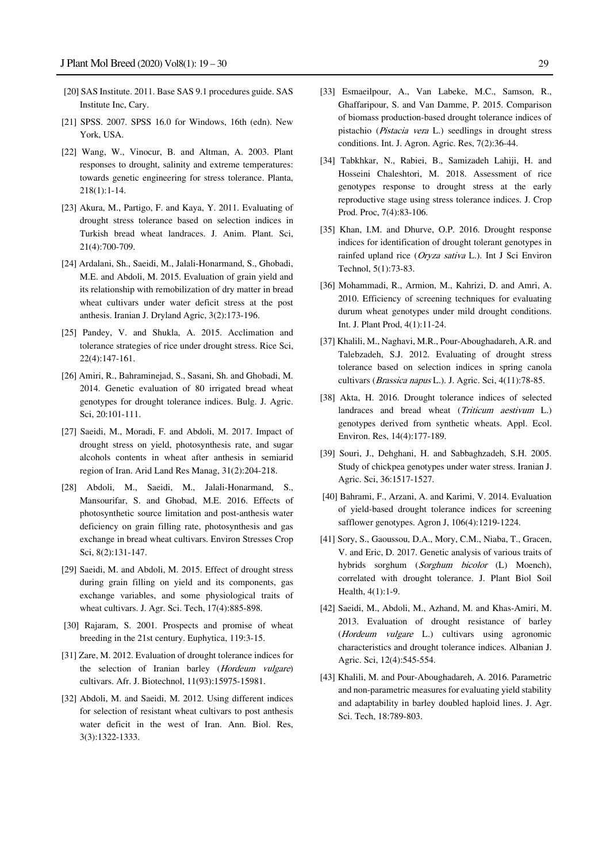- [20] SAS Institute. 2011. Base SAS 9.1 procedures guide. SAS Institute Inc, Cary.
- [21] SPSS. 2007. SPSS 16.0 for Windows, 16th (edn). New York, USA.
- [22] Wang, W., Vinocur, B. and Altman, A. 2003. Plant responses to drought, salinity and extreme temperatures: towards genetic engineering for stress tolerance. Planta, 218(1):1-14.
- [23] Akura, M., Partigo, F. and Kaya, Y. 2011. Evaluating of drought stress tolerance based on selection indices in Turkish bread wheat landraces. J. Anim. Plant. Sci, 21(4):700-709.
- [24] Ardalani, Sh., Saeidi, M., Jalali-Honarmand, S., Ghobadi, M.E. and Abdoli, M. 2015. Evaluation of grain yield and its relationship with remobilization of dry matter in bread wheat cultivars under water deficit stress at the post anthesis. Iranian J. Dryland Agric, 3(2):173-196.
- [25] Pandey, V. and Shukla, A. 2015. Acclimation and tolerance strategies of rice under drought stress. Rice Sci, 22(4):147-161.
- [26] Amiri, R., Bahraminejad, S., Sasani, Sh. and Ghobadi, M. 2014. Genetic evaluation of 80 irrigated bread wheat genotypes for drought tolerance indices. Bulg. J. Agric. Sci, 20:101-111.
- [27] Saeidi, M., Moradi, F. and Abdoli, M. 2017. Impact of drought stress on yield, photosynthesis rate, and sugar alcohols contents in wheat after anthesis in semiarid region of Iran. Arid Land Res Manag, 31(2):204-218.
- [28] Abdoli, M., Saeidi, M., Jalali-Honarmand, S., Mansourifar, S. and Ghobad, M.E. 2016. Effects of photosynthetic source limitation and post-anthesis water deficiency on grain filling rate, photosynthesis and gas exchange in bread wheat cultivars. Environ Stresses Crop Sci, 8(2):131-147.
- [29] Saeidi, M. and Abdoli, M. 2015. Effect of drought stress during grain filling on yield and its components, gas exchange variables, and some physiological traits of wheat cultivars. J. Agr. Sci. Tech, 17(4):885-898.
- [30] Rajaram, S. 2001. Prospects and promise of wheat breeding in the 21st century. Euphytica, 119:3-15.
- [31] Zare, M. 2012. Evaluation of drought tolerance indices for the selection of Iranian barley (Hordeum vulgare) cultivars. Afr. J. Biotechnol, 11(93):15975-15981.
- [32] Abdoli, M. and Saeidi, M. 2012. Using different indices for selection of resistant wheat cultivars to post anthesis water deficit in the west of Iran. Ann. Biol. Res, 3(3):1322-1333.
- [33] Esmaeilpour, A., Van Labeke, M.C., Samson, R., Ghaffaripour, S. and Van Damme, P. 2015. Comparison of biomass production-based drought tolerance indices of pistachio (Pistacia vera L.) seedlings in drought stress conditions. Int. J. Agron. Agric. Res, 7(2):36-44.
- [34] Tabkhkar, N., Rabiei, B., Samizadeh Lahiji, H. and Hosseini Chaleshtori, M. 2018. Assessment of rice genotypes response to drought stress at the early reproductive stage using stress tolerance indices. J. Crop Prod. Proc, 7(4):83-106.
- [35] Khan, I.M. and Dhurve, O.P. 2016. Drought response indices for identification of drought tolerant genotypes in rainfed upland rice (Oryza sativa L.). Int J Sci Environ Technol, 5(1):73-83.
- [36] Mohammadi, R., Armion, M., Kahrizi, D. and Amri, A. 2010. Efficiency of screening techniques for evaluating durum wheat genotypes under mild drought conditions. Int. J. Plant Prod, 4(1):11-24.
- [37] Khalili, M., Naghavi, M.R., Pour-Aboughadareh, A.R. and Talebzadeh, S.J. 2012. Evaluating of drought stress tolerance based on selection indices in spring canola cultivars (Brassica napus L.). J. Agric. Sci, 4(11):78-85.
- [38] Akta, H. 2016. Drought tolerance indices of selected landraces and bread wheat (*Triticum aestivum L.*) genotypes derived from synthetic wheats. Appl. Ecol. Environ. Res, 14(4):177-189.
- [39] Souri, J., Dehghani, H. and Sabbaghzadeh, S.H. 2005. Study of chickpea genotypes under water stress. Iranian J. Agric. Sci, 36:1517-1527.
- [40] Bahrami, F., Arzani, A. and Karimi, V. 2014. Evaluation of yield-based drought tolerance indices for screening safflower genotypes. Agron J, 106(4):1219-1224.
- [41] Sory, S., Gaoussou, D.A., Mory, C.M., Niaba, T., Gracen, V. and Eric, D. 2017. Genetic analysis of various traits of hybrids sorghum (Sorghum bicolor (L) Moench), correlated with drought tolerance. J. Plant Biol Soil Health, 4(1):1-9.
- [42] Saeidi, M., Abdoli, M., Azhand, M. and Khas-Amiri, M. 2013. Evaluation of drought resistance of barley (Hordeum vulgare L.) cultivars using agronomic characteristics and drought tolerance indices. Albanian J. Agric. Sci, 12(4):545-554.
- [43] Khalili, M. and Pour-Aboughadareh, A. 2016. Parametric and non-parametric measures for evaluating yield stability and adaptability in barley doubled haploid lines. J. Agr. Sci. Tech, 18:789-803.